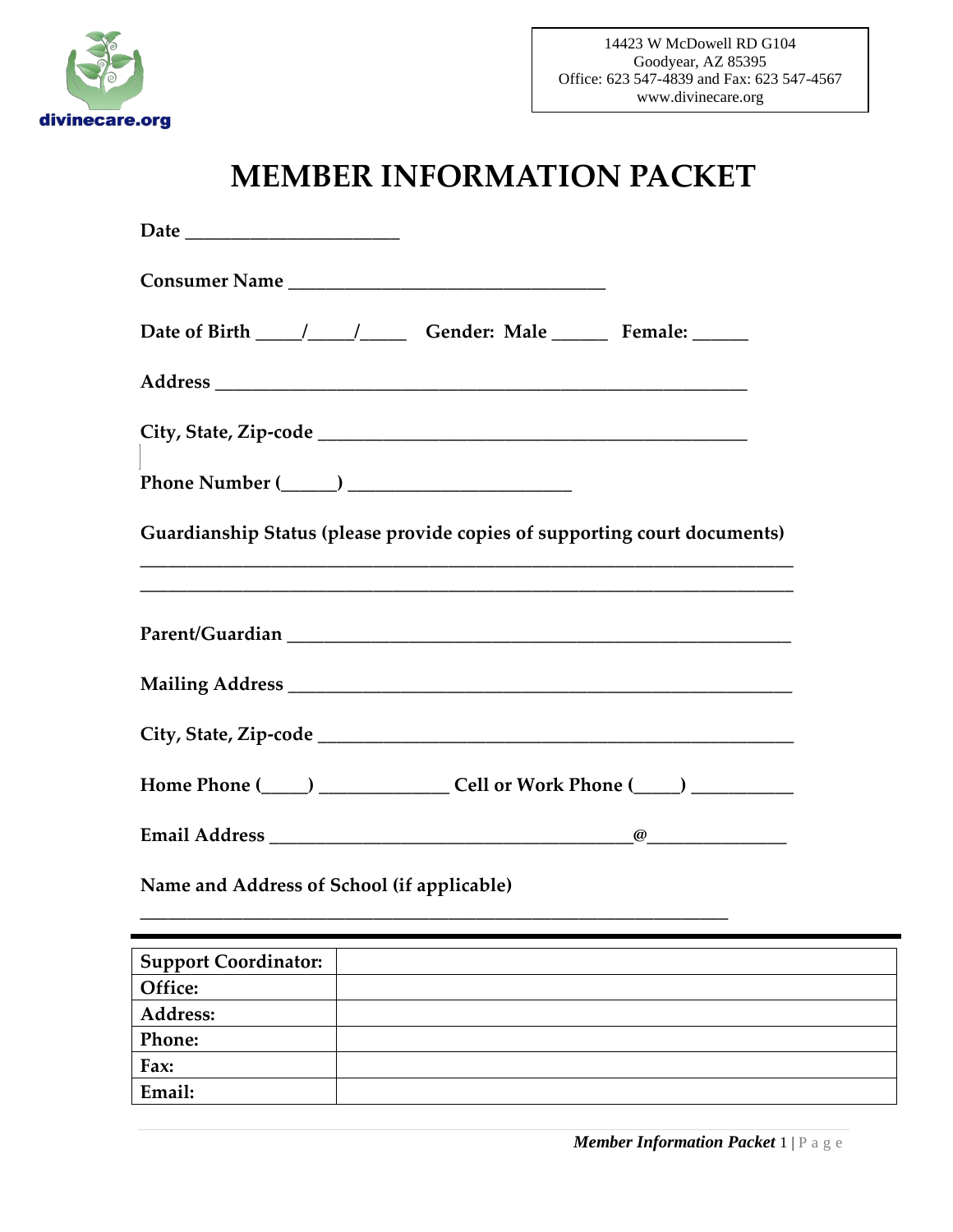

# **MEMBER INFORMATION PACKET**

| Date ________________________                                                                                                                                                             |  |
|-------------------------------------------------------------------------------------------------------------------------------------------------------------------------------------------|--|
|                                                                                                                                                                                           |  |
|                                                                                                                                                                                           |  |
|                                                                                                                                                                                           |  |
|                                                                                                                                                                                           |  |
| $\label{eq:1} {\bf Phone\; Number\;(\hspace{1cm}\underline{\hspace{1cm}})\;\underline{\hspace{1cm}}\hspace{1cm}\underline{\hspace{1cm}}\hspace{1cm}\underline{\hspace{1cm}}\hspace{1cm}}$ |  |
| Guardianship Status (please provide copies of supporting court documents)                                                                                                                 |  |
|                                                                                                                                                                                           |  |
|                                                                                                                                                                                           |  |
|                                                                                                                                                                                           |  |
| Home Phone (_____) ____________________ Cell or Work Phone (_____) _____________                                                                                                          |  |
|                                                                                                                                                                                           |  |
| Name and Address of School (if applicable)                                                                                                                                                |  |
| <b>Support Coordinator:</b>                                                                                                                                                               |  |
| Office:                                                                                                                                                                                   |  |
| Address:                                                                                                                                                                                  |  |
| Phone:                                                                                                                                                                                    |  |
| Fax:                                                                                                                                                                                      |  |
| Email:                                                                                                                                                                                    |  |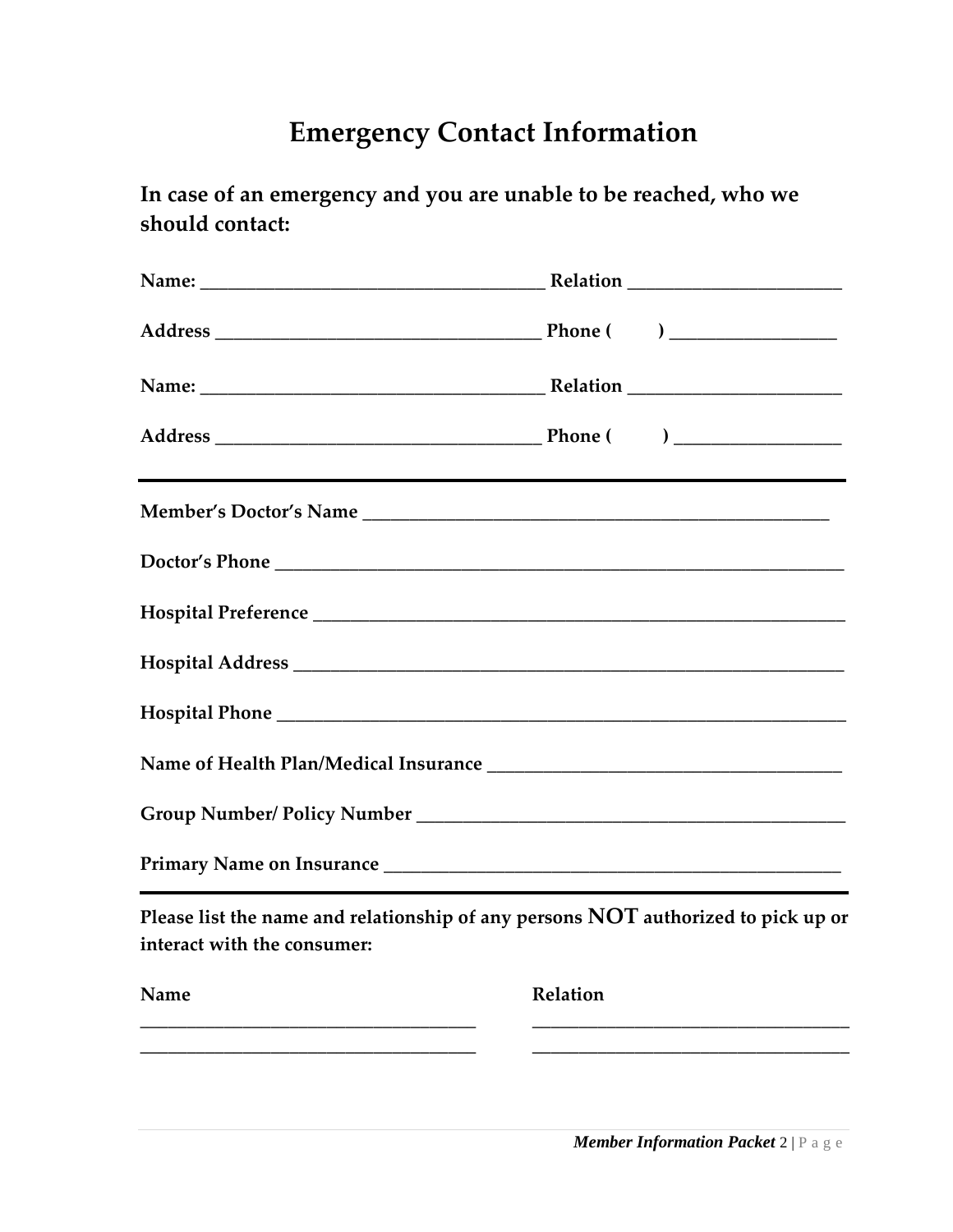# **Emergency Contact Information**

**In case of an emergency and you are unable to be reached, who we should contact:**

| ,我们也不会有什么。""我们的人,我们也不会有什么?""我们的人,我们也不会有什么?""我们的人,我们也不会有什么?""我们的人,我们也不会有什么?""我们的人                                 |  |
|------------------------------------------------------------------------------------------------------------------|--|
|                                                                                                                  |  |
|                                                                                                                  |  |
|                                                                                                                  |  |
|                                                                                                                  |  |
|                                                                                                                  |  |
|                                                                                                                  |  |
|                                                                                                                  |  |
| Please list the name and relationship of any persons NOT authorized to pick up or<br>interact with the consumer: |  |

| Name | Relation |  |  |
|------|----------|--|--|
|      |          |  |  |
|      |          |  |  |

 *Member Information Packet* 2 | P a g e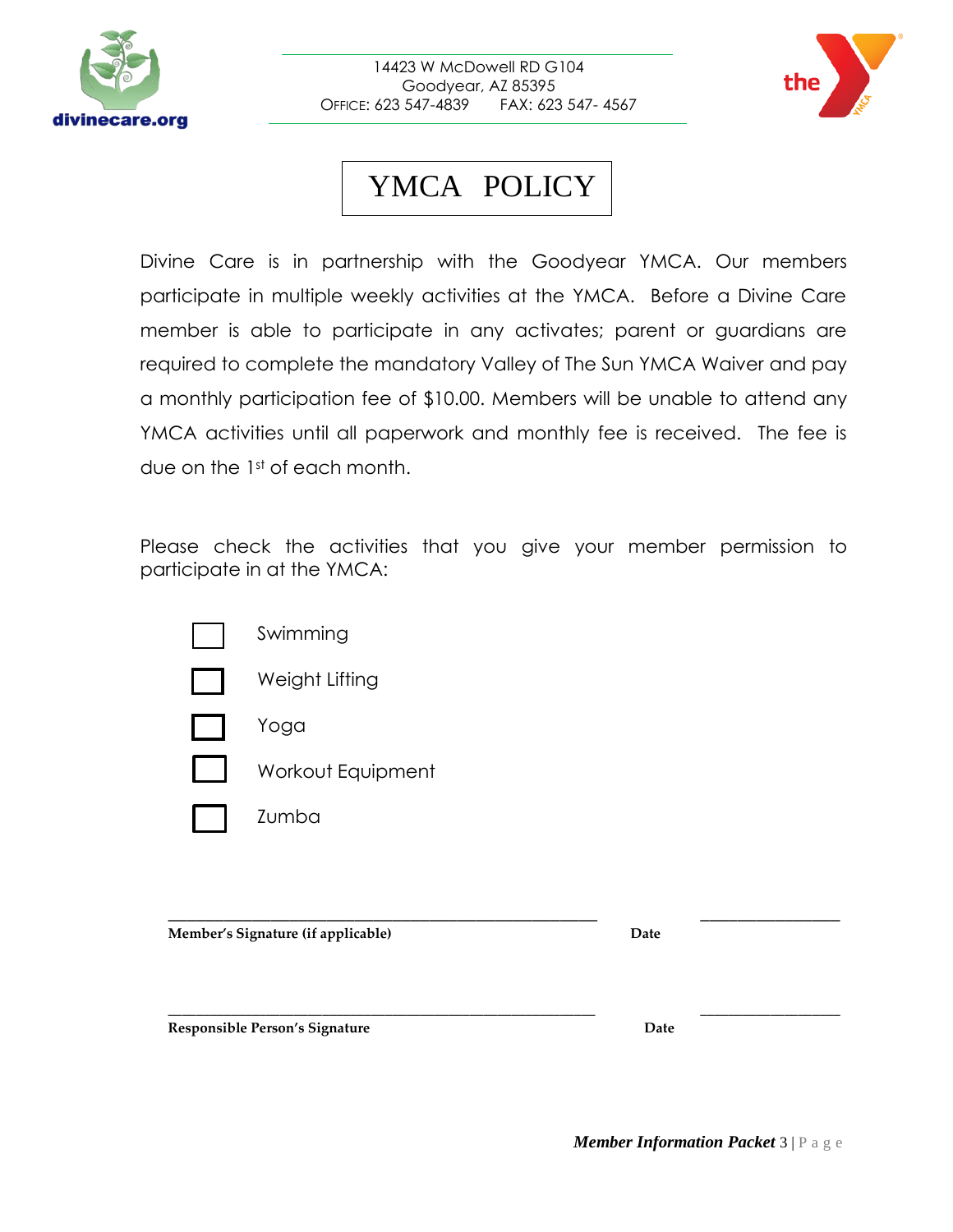

14423 W McDowell RD G104 Goodyear, AZ 85395 OFFICE: 623 547-4839 FAX: 623 547- 4567



# YMCA POLICY

Divine Care is in partnership with the Goodyear YMCA. Our members participate in multiple weekly activities at the YMCA. Before a Divine Care member is able to participate in any activates; parent or guardians are required to complete the mandatory Valley of The Sun YMCA Waiver and pay a monthly participation fee of \$10.00. Members will be unable to attend any YMCA activities until all paperwork and monthly fee is received. The fee is due on the 1st of each month.

Please check the activities that you give your member permission to participate in at the YMCA:

| Swimming       |
|----------------|
| Weight Lifting |

Yoga

- Workout Equipment
- Zumba

**\_\_\_\_\_\_\_\_\_\_\_\_\_\_\_\_\_\_\_\_\_\_\_\_\_\_\_\_\_\_\_\_\_\_\_\_\_\_\_\_\_\_\_\_\_\_ \_\_\_\_\_\_\_\_\_\_\_\_\_\_\_ Member's Signature (if applicable) Date**

**Responsible Person's Signature Date**

**\_\_\_\_\_\_\_\_\_\_\_\_\_\_\_\_\_\_\_\_\_\_\_\_\_\_\_\_\_\_\_\_\_\_\_\_\_\_\_\_\_\_\_\_\_\_\_\_\_\_\_\_\_\_\_\_\_\_\_\_\_ \_\_\_\_\_\_\_\_\_\_\_\_\_\_\_\_\_\_\_\_**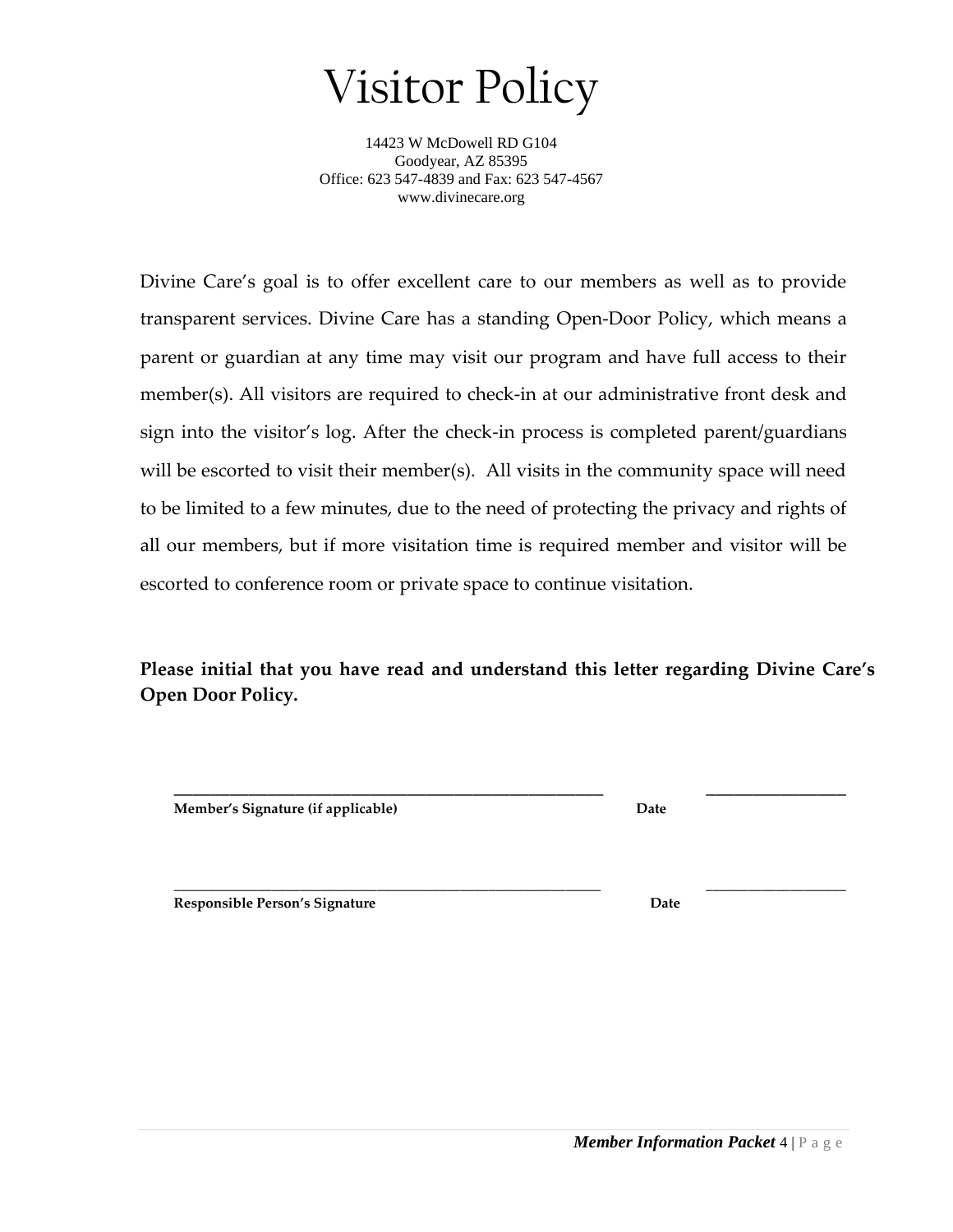Visitor Policy

14423 W McDowell RD G104 Goodyear, AZ 85395 Office: 623 547-4839 and Fax: 623 547-4567 www.divinecare.org

Divine Care's goal is to offer excellent care to our members as well as to provide transparent services. Divine Care has a standing Open-Door Policy, which means a parent or guardian at any time may visit our program and have full access to their member(s). All visitors are required to check-in at our administrative front desk and sign into the visitor's log. After the check-in process is completed parent/guardians will be escorted to visit their member(s). All visits in the community space will need to be limited to a few minutes, due to the need of protecting the privacy and rights of all our members, but if more visitation time is required member and visitor will be escorted to conference room or private space to continue visitation.

**Please initial that you have read and understand this letter regarding Divine Care's Open Door Policy.**

**Member's Signature (if applicable) Date**

**\_\_\_\_\_\_\_\_\_\_\_\_\_\_\_\_\_\_\_\_\_\_\_\_\_\_\_\_\_\_\_\_\_\_\_\_\_\_\_\_\_\_\_\_\_\_ \_\_\_\_\_\_\_\_\_\_\_\_\_\_\_**

**\_\_\_\_\_\_\_\_\_\_\_\_\_\_\_\_\_\_\_\_\_\_\_\_\_\_\_\_\_\_\_\_\_\_\_\_\_\_\_\_\_\_\_\_\_\_\_\_\_\_\_\_\_\_\_\_\_\_\_\_\_ \_\_\_\_\_\_\_\_\_\_\_\_\_\_\_\_\_\_\_\_ Responsible Person's Signature Date**

 *Member Information Packet* 4 | P a g e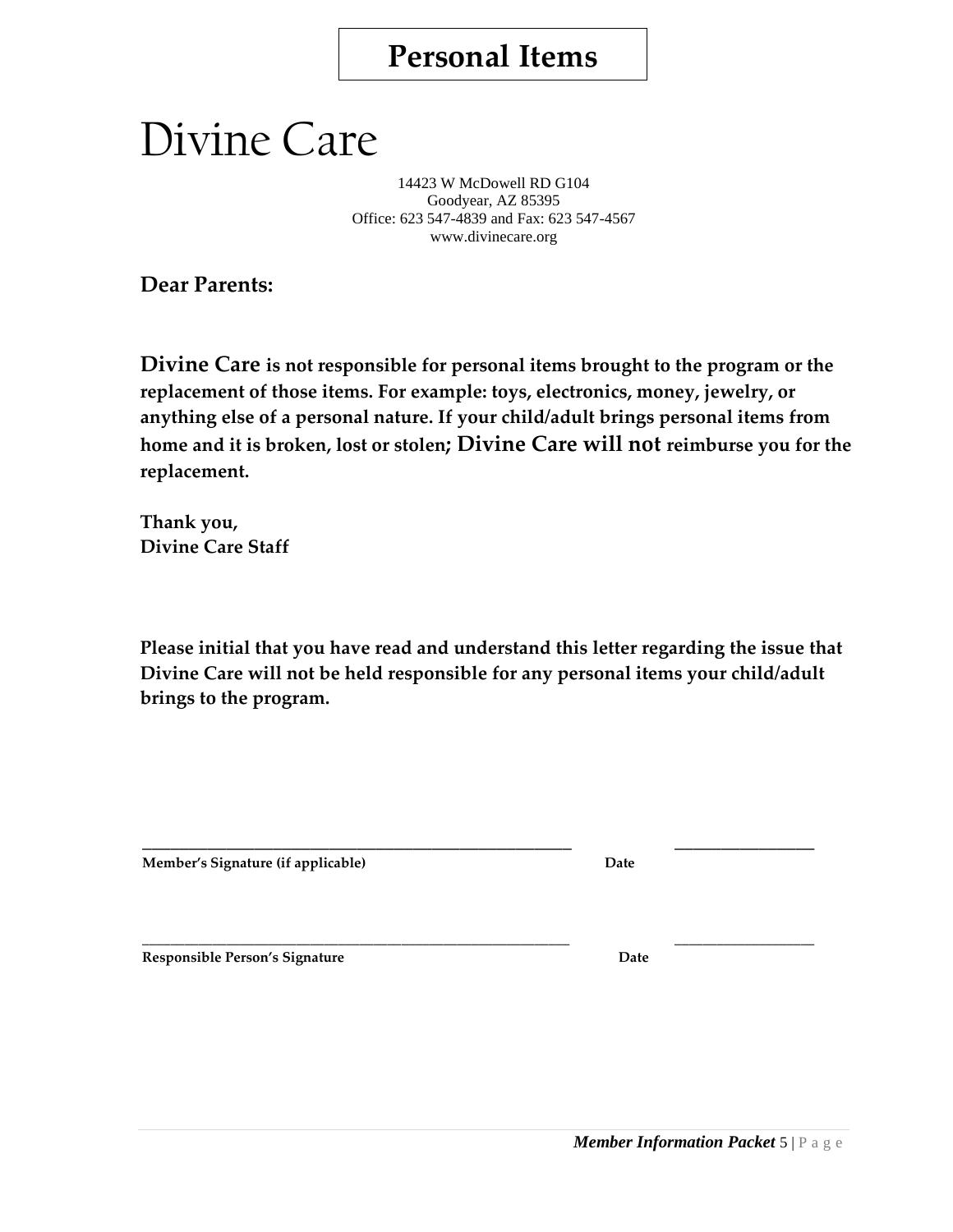## **Personal Items**

# Divine Care

14423 W McDowell RD G104 Goodyear, AZ 85395 Office: 623 547-4839 and Fax: 623 547-4567 www.divinecare.org

**Dear Parents:** 

**Divine Care is not responsible for personal items brought to the program or the replacement of those items. For example: toys, electronics, money, jewelry, or anything else of a personal nature. If your child/adult brings personal items from home and it is broken, lost or stolen; Divine Care will not reimburse you for the replacement.** 

**Thank you, Divine Care Staff** 

**Please initial that you have read and understand this letter regarding the issue that Divine Care will not be held responsible for any personal items your child/adult brings to the program.** 

**\_\_\_\_\_\_\_\_\_\_\_\_\_\_\_\_\_\_\_\_\_\_\_\_\_\_\_\_\_\_\_\_\_\_\_\_\_\_\_\_\_\_\_\_\_\_ \_\_\_\_\_\_\_\_\_\_\_\_\_\_\_**

**\_\_\_\_\_\_\_\_\_\_\_\_\_\_\_\_\_\_\_\_\_\_\_\_\_\_\_\_\_\_\_\_\_\_\_\_\_\_\_\_\_\_\_\_\_\_\_\_\_\_\_\_\_\_\_\_\_\_\_\_\_ \_\_\_\_\_\_\_\_\_\_\_\_\_\_\_\_\_\_\_\_**

**Member's Signature (if applicable) Date**

**Responsible Person's Signature Date**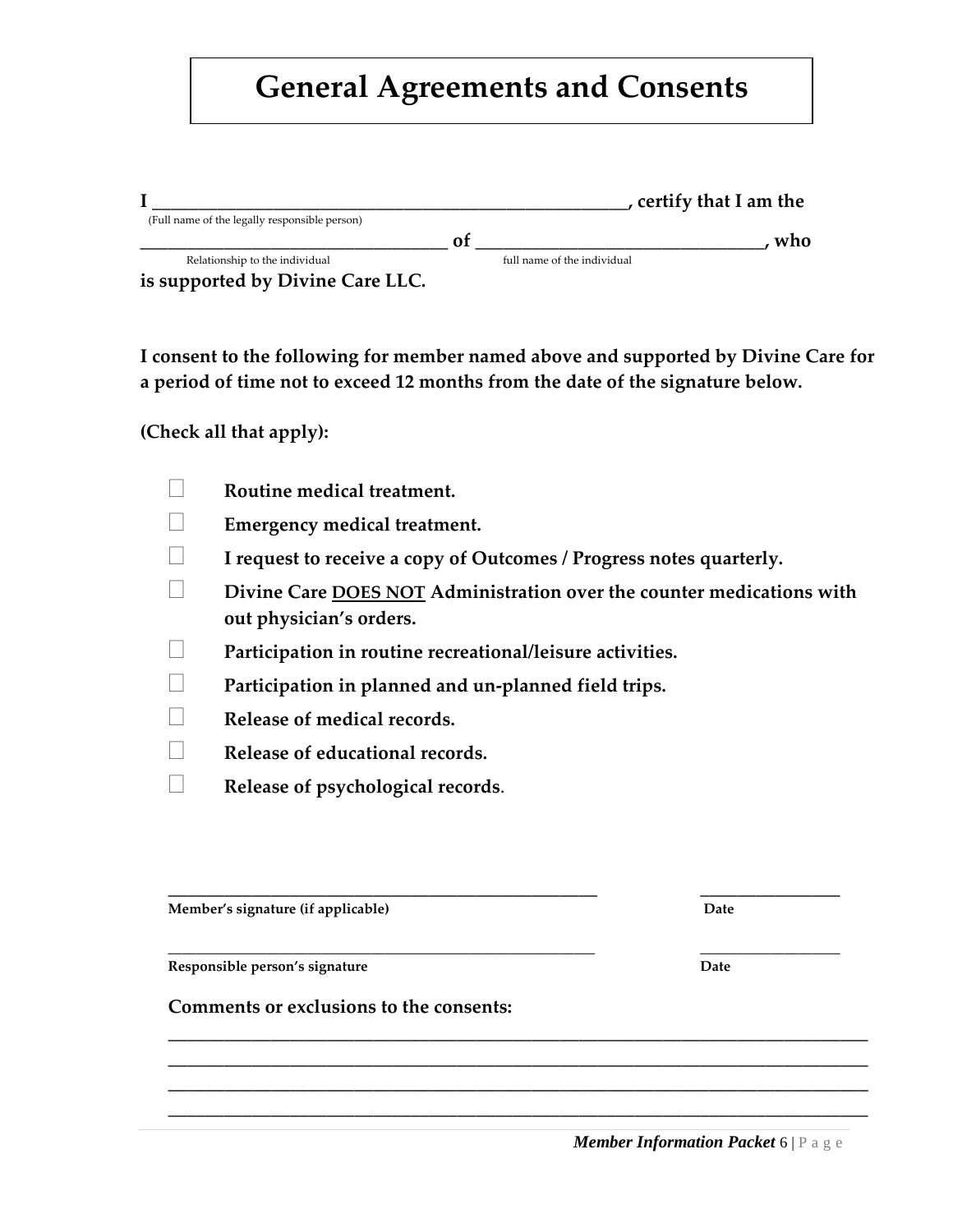# **General Agreements and Consents**

|                                               |                             | certify that I am the |
|-----------------------------------------------|-----------------------------|-----------------------|
| (Full name of the legally responsible person) |                             |                       |
|                                               |                             | who                   |
| Relationship to the individual                | full name of the individual |                       |

**is supported by Divine Care LLC.** 

**I consent to the following for member named above and supported by Divine Care for a period of time not to exceed 12 months from the date of the signature below.**

#### **(Check all that apply):**

| Routine medical treatment.                                                                       |
|--------------------------------------------------------------------------------------------------|
| <b>Emergency medical treatment.</b>                                                              |
| I request to receive a copy of Outcomes / Progress notes quarterly.                              |
| Divine Care DOES NOT Administration over the counter medications with<br>out physician's orders. |
| Participation in routine recreational/leisure activities.                                        |
| Participation in planned and un-planned field trips.                                             |
| Release of medical records.                                                                      |
| Release of educational records.                                                                  |
| Release of psychological records.                                                                |
|                                                                                                  |

**\_\_\_\_\_\_\_\_\_\_\_\_\_\_\_\_\_\_\_\_\_\_\_\_\_\_\_\_\_\_\_\_\_\_\_\_\_\_\_\_\_\_\_\_\_\_\_\_\_\_\_\_\_\_\_\_\_\_\_\_\_ \_\_\_\_\_\_\_\_\_\_\_\_\_\_\_\_\_\_\_\_**

**\_\_\_\_\_\_\_\_\_\_\_\_\_\_\_\_\_\_\_\_\_\_\_\_\_\_\_\_\_\_\_\_\_\_\_\_\_\_\_\_\_\_\_\_\_\_\_\_\_\_\_\_\_\_\_\_\_\_\_\_\_\_\_\_\_\_\_\_\_\_\_\_\_\_\_ \_\_\_\_\_\_\_\_\_\_\_\_\_\_\_\_\_\_\_\_\_\_\_\_\_\_\_\_\_\_\_\_\_\_\_\_\_\_\_\_\_\_\_\_\_\_\_\_\_\_\_\_\_\_\_\_\_\_\_\_\_\_\_\_\_\_\_\_\_\_\_\_\_\_\_ \_\_\_\_\_\_\_\_\_\_\_\_\_\_\_\_\_\_\_\_\_\_\_\_\_\_\_\_\_\_\_\_\_\_\_\_\_\_\_\_\_\_\_\_\_\_\_\_\_\_\_\_\_\_\_\_\_\_\_\_\_\_\_\_\_\_\_\_\_\_\_\_\_\_\_ \_\_\_\_\_\_\_\_\_\_\_\_\_\_\_\_\_\_\_\_\_\_\_\_\_\_\_\_\_\_\_\_\_\_\_\_\_\_\_\_\_\_\_\_\_\_\_\_\_\_\_\_\_\_\_\_\_\_\_\_\_\_\_\_\_\_\_\_\_\_\_\_\_\_\_**

**\_\_\_\_\_\_\_\_\_\_\_\_\_\_\_\_\_\_\_\_\_\_\_\_\_\_\_\_\_\_\_\_\_\_\_\_\_\_\_\_\_\_\_\_\_\_ \_\_\_\_\_\_\_\_\_\_\_\_\_\_\_ Member's signature (if applicable) Date**

**Responsible person's signature Date**

**Comments or exclusions to the consents:** 

 *Member Information Packet* 6 | P a g e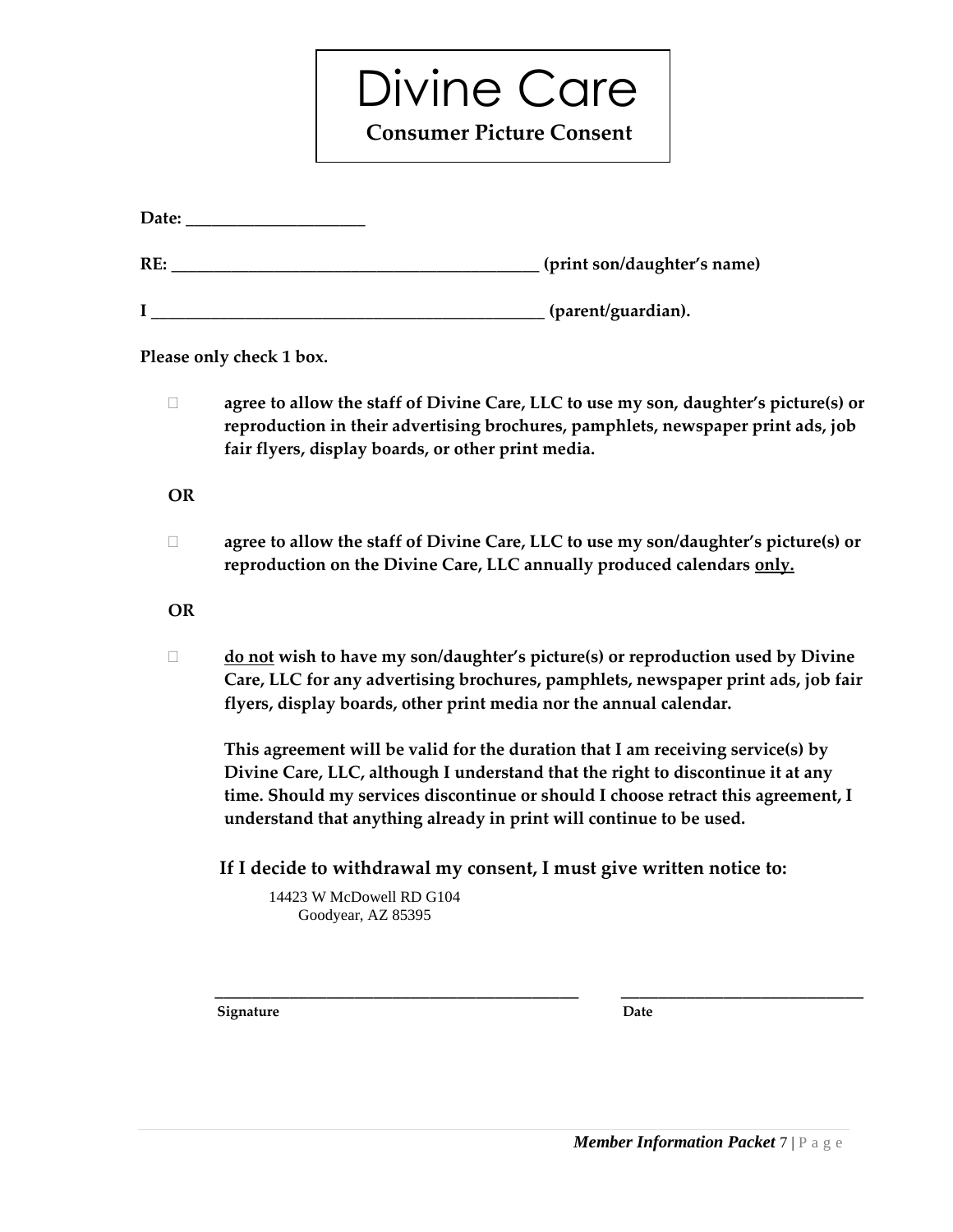Divine Care  **Consumer Picture Consent**

|           | Please only check 1 box.                                                                                                                                                                                                                                                                                                       |
|-----------|--------------------------------------------------------------------------------------------------------------------------------------------------------------------------------------------------------------------------------------------------------------------------------------------------------------------------------|
| $\Box$    | agree to allow the staff of Divine Care, LLC to use my son, daughter's picture(s) or<br>reproduction in their advertising brochures, pamphlets, newspaper print ads, job<br>fair flyers, display boards, or other print media.                                                                                                 |
| <b>OR</b> |                                                                                                                                                                                                                                                                                                                                |
| $\Box$    | agree to allow the staff of Divine Care, LLC to use my son/daughter's picture(s) or<br>reproduction on the Divine Care, LLC annually produced calendars only.                                                                                                                                                                  |
| <b>OR</b> |                                                                                                                                                                                                                                                                                                                                |
| □         | do not wish to have my son/daughter's picture(s) or reproduction used by Divine<br>Care, LLC for any advertising brochures, pamphlets, newspaper print ads, job fair<br>flyers, display boards, other print media nor the annual calendar.                                                                                     |
|           | This agreement will be valid for the duration that I am receiving service(s) by<br>Divine Care, LLC, although I understand that the right to discontinue it at any<br>time. Should my services discontinue or should I choose retract this agreement, I<br>understand that anything already in print will continue to be used. |
|           | If I decide to withdrawal my consent, I must give written notice to:                                                                                                                                                                                                                                                           |
|           | 14423 W McDowell RD G104<br>Goodyear, AZ 85395                                                                                                                                                                                                                                                                                 |
|           |                                                                                                                                                                                                                                                                                                                                |
|           | Signature<br>Date                                                                                                                                                                                                                                                                                                              |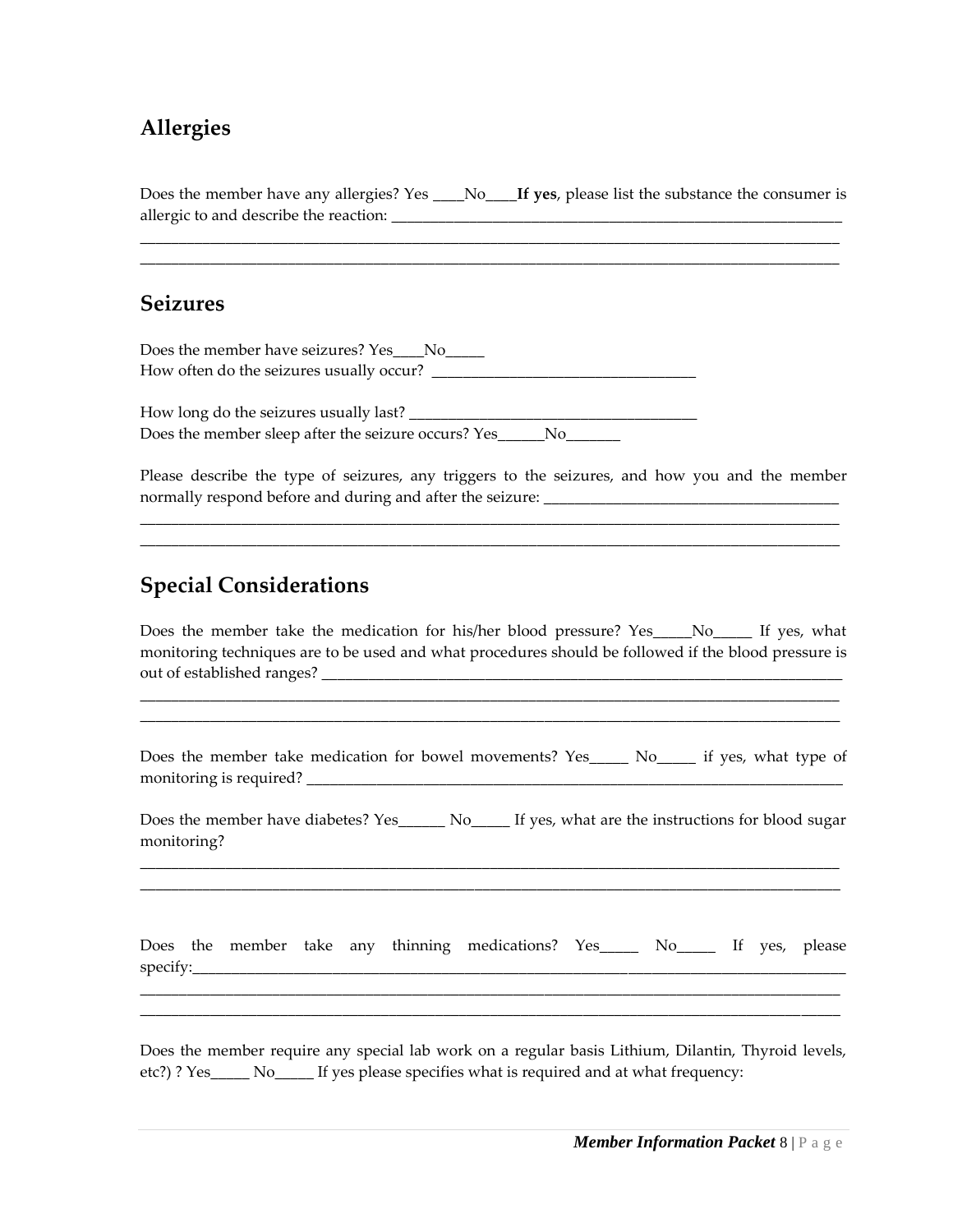#### **Allergies**

Does the member have any allergies? Yes \_\_\_\_No\_\_\_\_**If yes**, please list the substance the consumer is allergic to and describe the reaction: \_\_\_\_\_\_\_\_\_\_\_\_\_\_\_\_\_\_\_\_\_\_\_\_\_\_\_\_\_\_\_\_\_\_\_\_\_\_\_\_\_\_\_\_\_\_\_\_\_\_\_\_\_\_\_\_\_\_

\_\_\_\_\_\_\_\_\_\_\_\_\_\_\_\_\_\_\_\_\_\_\_\_\_\_\_\_\_\_\_\_\_\_\_\_\_\_\_\_\_\_\_\_\_\_\_\_\_\_\_\_\_\_\_\_\_\_\_\_\_\_\_\_\_\_\_\_\_\_\_\_\_\_\_\_\_\_\_\_\_\_\_\_\_\_\_\_\_\_ \_\_\_\_\_\_\_\_\_\_\_\_\_\_\_\_\_\_\_\_\_\_\_\_\_\_\_\_\_\_\_\_\_\_\_\_\_\_\_\_\_\_\_\_\_\_\_\_\_\_\_\_\_\_\_\_\_\_\_\_\_\_\_\_\_\_\_\_\_\_\_\_\_\_\_\_\_\_\_\_\_\_\_\_\_\_\_\_\_\_

#### **Seizures**

Does the member have seizures? Yes\_\_\_\_No\_\_\_\_\_ How often do the seizures usually occur?

How long do the seizures usually last? Does the member sleep after the seizure occurs? Yes\_\_\_\_\_\_No\_\_\_\_\_\_\_

Please describe the type of seizures, any triggers to the seizures, and how you and the member normally respond before and during and after the seizure: \_\_\_\_\_\_\_\_\_\_\_\_\_\_\_\_\_\_\_\_\_\_\_\_\_\_\_\_\_\_\_\_\_\_\_\_\_\_

\_\_\_\_\_\_\_\_\_\_\_\_\_\_\_\_\_\_\_\_\_\_\_\_\_\_\_\_\_\_\_\_\_\_\_\_\_\_\_\_\_\_\_\_\_\_\_\_\_\_\_\_\_\_\_\_\_\_\_\_\_\_\_\_\_\_\_\_\_\_\_\_\_\_\_\_\_\_\_\_\_\_\_\_\_\_\_\_\_\_ \_\_\_\_\_\_\_\_\_\_\_\_\_\_\_\_\_\_\_\_\_\_\_\_\_\_\_\_\_\_\_\_\_\_\_\_\_\_\_\_\_\_\_\_\_\_\_\_\_\_\_\_\_\_\_\_\_\_\_\_\_\_\_\_\_\_\_\_\_\_\_\_\_\_\_\_\_\_\_\_\_\_\_\_\_\_\_\_\_\_

#### **Special Considerations**

Does the member take the medication for his/her blood pressure? Yes No If yes, what monitoring techniques are to be used and what procedures should be followed if the blood pressure is out of established ranges?

\_\_\_\_\_\_\_\_\_\_\_\_\_\_\_\_\_\_\_\_\_\_\_\_\_\_\_\_\_\_\_\_\_\_\_\_\_\_\_\_\_\_\_\_\_\_\_\_\_\_\_\_\_\_\_\_\_\_\_\_\_\_\_\_\_\_\_\_\_\_\_\_\_\_\_\_\_\_\_\_\_\_\_\_\_\_\_\_\_\_ \_\_\_\_\_\_\_\_\_\_\_\_\_\_\_\_\_\_\_\_\_\_\_\_\_\_\_\_\_\_\_\_\_\_\_\_\_\_\_\_\_\_\_\_\_\_\_\_\_\_\_\_\_\_\_\_\_\_\_\_\_\_\_\_\_\_\_\_\_\_\_\_\_\_\_\_\_\_\_\_\_\_\_\_\_\_\_\_\_\_

Does the member take medication for bowel movements? Yes\_\_\_\_\_ No\_\_\_\_\_ if yes, what type of monitoring is required? \_\_\_\_\_\_\_\_\_\_\_\_\_\_\_\_\_\_\_\_\_\_\_\_\_\_\_\_\_\_\_\_\_\_\_\_\_\_\_\_\_\_\_\_\_\_\_\_\_\_\_\_\_\_\_\_\_\_\_\_\_\_\_\_\_\_\_\_\_

Does the member have diabetes? Yes No. If yes, what are the instructions for blood sugar monitoring?

\_\_\_\_\_\_\_\_\_\_\_\_\_\_\_\_\_\_\_\_\_\_\_\_\_\_\_\_\_\_\_\_\_\_\_\_\_\_\_\_\_\_\_\_\_\_\_\_\_\_\_\_\_\_\_\_\_\_\_\_\_\_\_\_\_\_\_\_\_\_\_\_\_\_\_\_\_\_\_\_\_\_\_\_\_\_\_\_\_\_ \_\_\_\_\_\_\_\_\_\_\_\_\_\_\_\_\_\_\_\_\_\_\_\_\_\_\_\_\_\_\_\_\_\_\_\_\_\_\_\_\_\_\_\_\_\_\_\_\_\_\_\_\_\_\_\_\_\_\_\_\_\_\_\_\_\_\_\_\_\_\_\_\_\_\_\_\_\_\_\_\_\_\_\_\_\_\_\_\_\_

| Does    | the | member take any |  | thinning medications? | Yes | NΩ | $\mathbf{H}$ | ves, |  |
|---------|-----|-----------------|--|-----------------------|-----|----|--------------|------|--|
| specify |     |                 |  |                       |     |    |              |      |  |

\_\_\_\_\_\_\_\_\_\_\_\_\_\_\_\_\_\_\_\_\_\_\_\_\_\_\_\_\_\_\_\_\_\_\_\_\_\_\_\_\_\_\_\_\_\_\_\_\_\_\_\_\_\_\_\_\_\_\_\_\_\_\_\_\_\_\_\_\_\_\_\_\_\_\_\_\_\_\_\_\_\_\_\_\_\_\_\_\_\_ \_\_\_\_\_\_\_\_\_\_\_\_\_\_\_\_\_\_\_\_\_\_\_\_\_\_\_\_\_\_\_\_\_\_\_\_\_\_\_\_\_\_\_\_\_\_\_\_\_\_\_\_\_\_\_\_\_\_\_\_\_\_\_\_\_\_\_\_\_\_\_\_\_\_\_\_\_\_\_\_\_\_\_\_\_\_\_\_\_\_

Does the member require any special lab work on a regular basis Lithium, Dilantin, Thyroid levels, etc?) ? Yes\_\_\_\_\_ No\_\_\_\_\_ If yes please specifies what is required and at what frequency: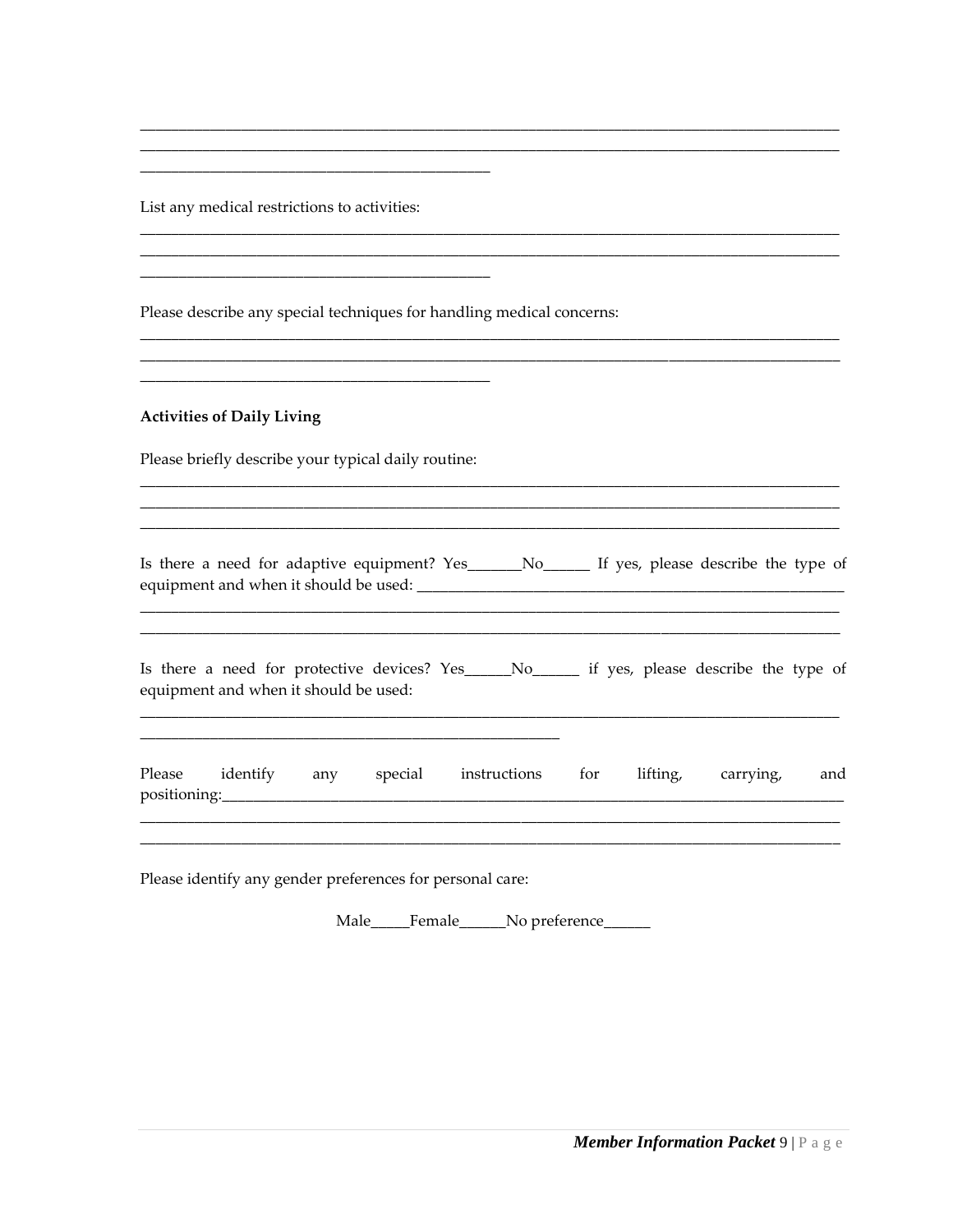List any medical restrictions to activities:

Please describe any special techniques for handling medical concerns:

<u> 2000 - Januar Alexander (h. 1888).</u>

#### **Activities of Daily Living**

Please briefly describe your typical daily routine:

<u> 1980 - Jan Sterling von de Berling von de Berling von de Berling von de Berling von de Berling von de Berling</u>

Is there a need for adaptive equipment? Yes\_\_\_\_\_\_No\_\_\_\_\_\_\_ If yes, please describe the type of 

| Is there a need for protective devices? Yes_____No________ if yes, please describe the type of |  |  |  |  |
|------------------------------------------------------------------------------------------------|--|--|--|--|
| equipment and when it should be used:                                                          |  |  |  |  |

| Please       | identify | any | special | instructions | tor | lifting, | carrying, | and |
|--------------|----------|-----|---------|--------------|-----|----------|-----------|-----|
| positioning: |          |     |         |              |     |          |           |     |

Please identify any gender preferences for personal care:

Male\_\_\_\_Female\_\_\_\_\_No preference\_\_\_\_\_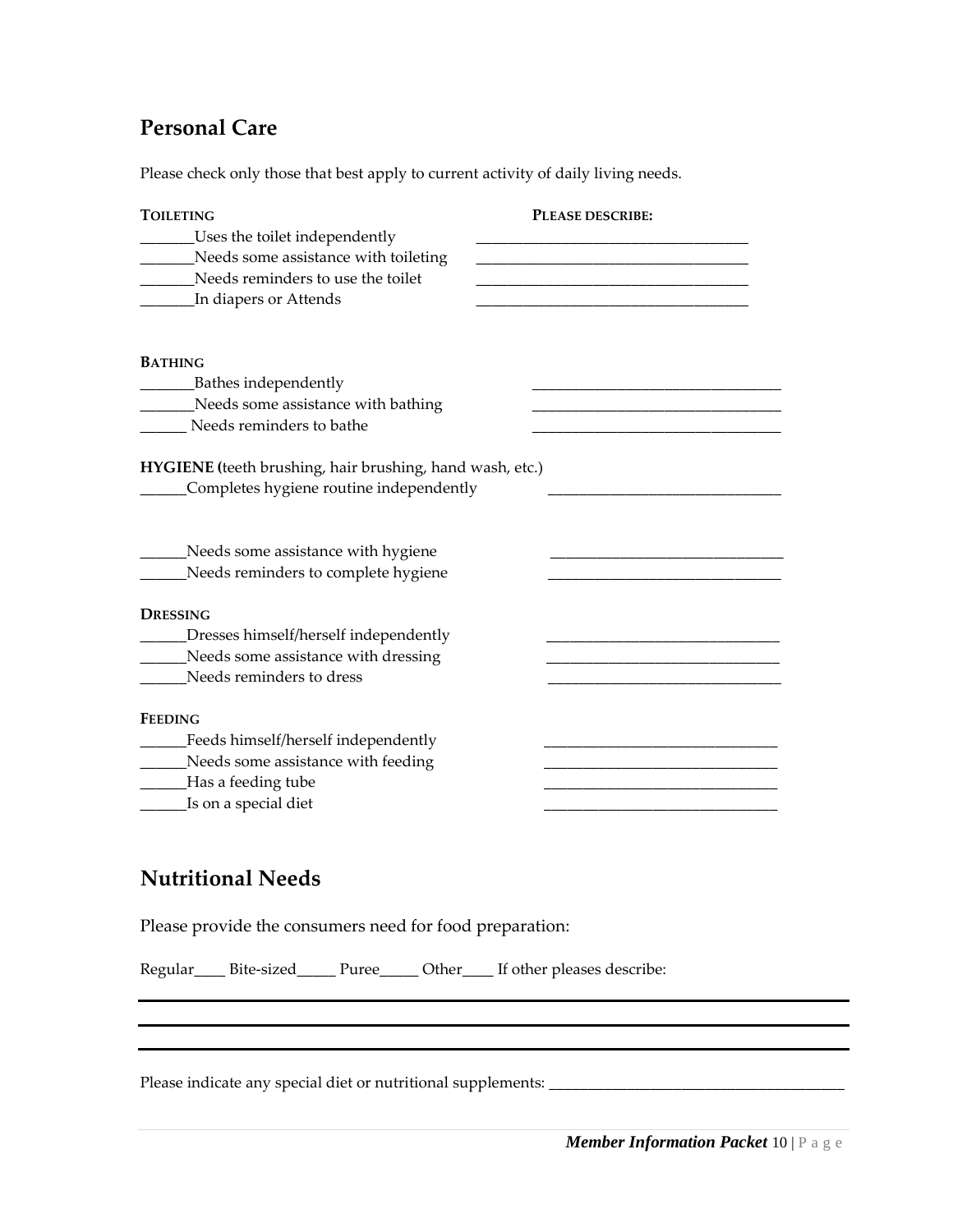#### **Personal Care**

Please check only those that best apply to current activity of daily living needs.

| <b>TOILETING</b>                                         | PLEASE DESCRIBE: |
|----------------------------------------------------------|------------------|
| _Uses the toilet independently                           |                  |
| Needs some assistance with toileting                     |                  |
| Needs reminders to use the toilet                        |                  |
| In diapers or Attends                                    |                  |
| <b>BATHING</b>                                           |                  |
| Bathes independently                                     |                  |
| Needs some assistance with bathing                       |                  |
| Needs reminders to bathe                                 |                  |
|                                                          |                  |
| HYGIENE (teeth brushing, hair brushing, hand wash, etc.) |                  |
| Completes hygiene routine independently                  |                  |
|                                                          |                  |
| Needs some assistance with hygiene                       |                  |
| Needs reminders to complete hygiene                      |                  |
| <b>DRESSING</b>                                          |                  |
| Dresses himself/herself independently                    |                  |
| Needs some assistance with dressing                      |                  |
| Needs reminders to dress                                 |                  |
| <b>FEEDING</b>                                           |                  |
| Feeds himself/herself independently                      |                  |
| Needs some assistance with feeding                       |                  |
| Has a feeding tube                                       |                  |
| Is on a special diet                                     |                  |

#### **Nutritional Needs**

Please provide the consumers need for food preparation:

Regular\_\_\_\_ Bite-sized\_\_\_\_\_ Puree\_\_\_\_\_ Other\_\_\_\_ If other pleases describe:

Please indicate any special diet or nutritional supplements: \_\_\_\_\_\_\_\_\_\_\_\_\_\_\_\_\_\_\_\_\_\_\_\_\_\_\_\_\_\_\_\_\_\_\_\_\_\_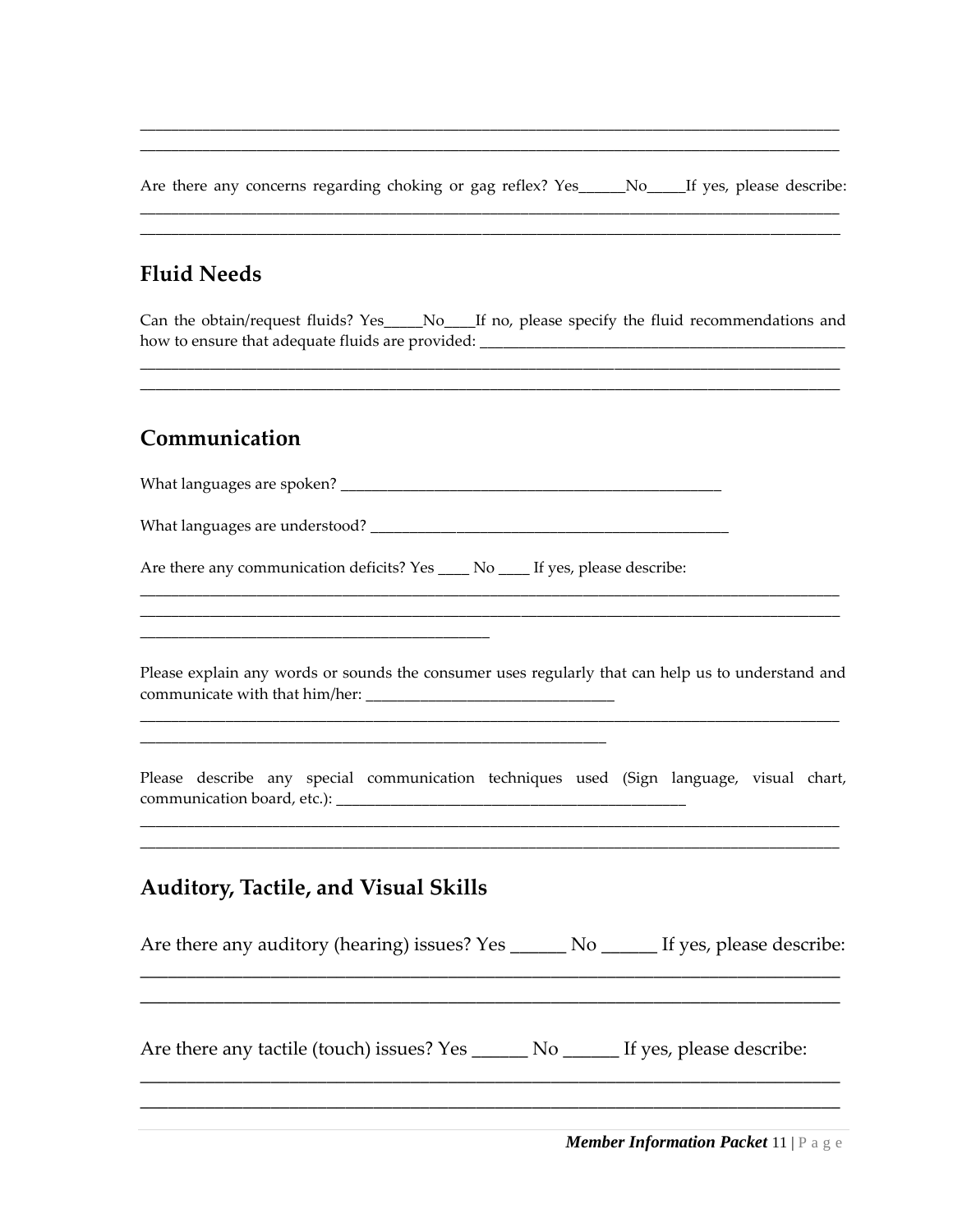Are there any concerns regarding choking or gag reflex? Yes\_\_\_\_\_No\_\_\_\_If yes, please describe:

#### **Fluid Needs**

Can the obtain/request fluids? Yes\_\_\_\_No\_\_\_If no, please specify the fluid recommendations and 

#### Communication

Are there any communication deficits? Yes \_\_\_\_\_ No \_\_\_\_\_ If yes, please describe:

Please explain any words or sounds the consumer uses regularly that can help us to understand and 

Please describe any special communication techniques used (Sign language, visual chart, 

#### **Auditory, Tactile, and Visual Skills**

| Are there any auditory (hearing) issues? Yes _______ No _______ If yes, please describe: |  |  |
|------------------------------------------------------------------------------------------|--|--|
| Are there any tactile (touch) issues? Yes ________ No ________ If yes, please describe:  |  |  |
|                                                                                          |  |  |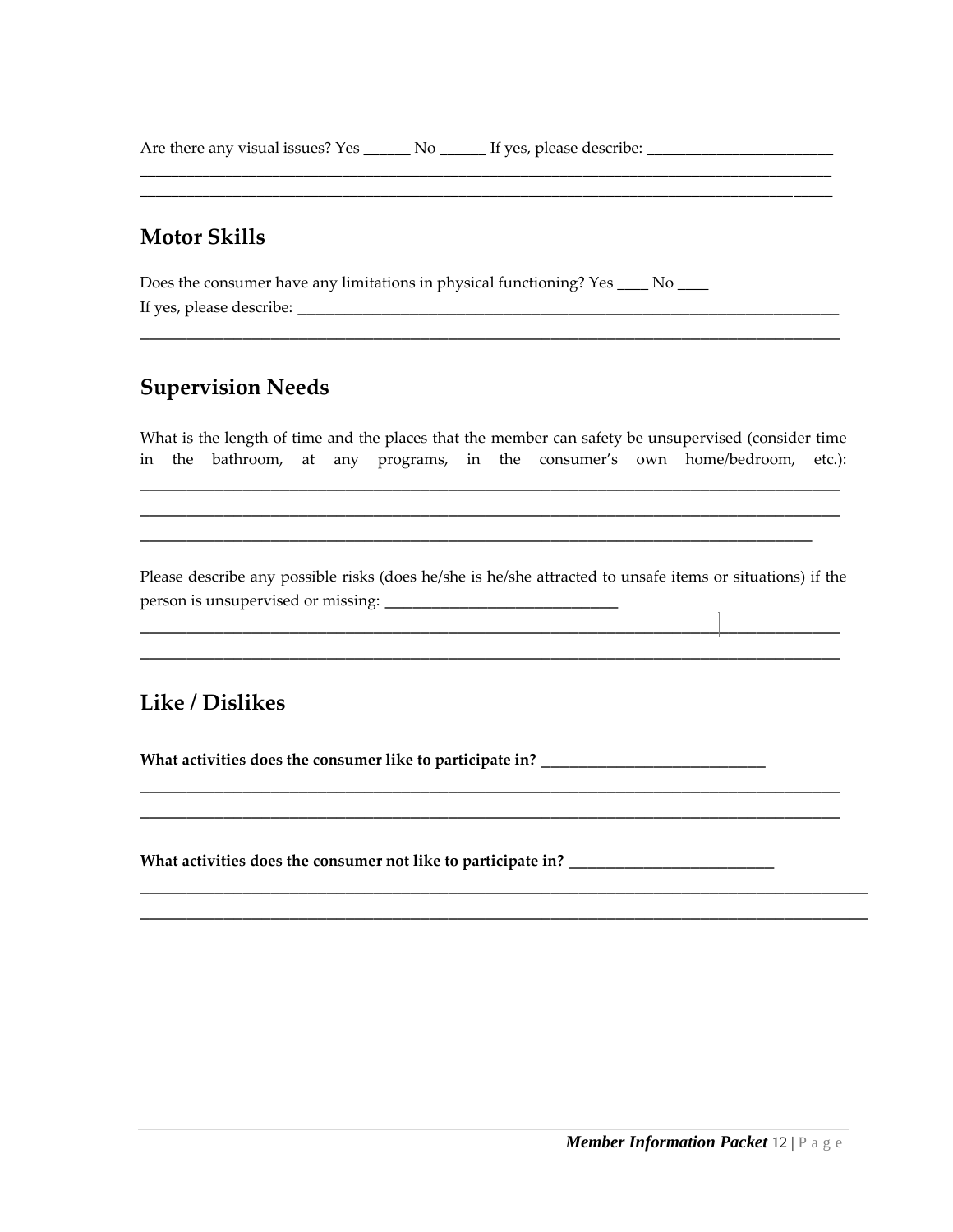Are there any visual issues? Yes \_\_\_\_\_\_ No \_\_\_\_\_\_ If yes, please describe: \_\_\_\_\_\_\_\_\_\_\_\_\_\_\_\_\_\_\_\_\_\_\_\_\_\_\_\_\_\_\_\_\_\_\_

#### **Motor Skills**

Does the consumer have any limitations in physical functioning? Yes \_\_\_\_ No \_\_\_\_ If yes, please describe: \_\_\_\_\_\_\_\_\_\_\_\_\_\_\_\_\_\_\_\_\_\_\_\_\_\_\_\_\_\_\_\_\_\_\_\_\_\_\_\_\_\_\_\_\_\_\_\_\_\_\_\_\_\_\_\_\_\_

#### **Supervision Needs**

What is the length of time and the places that the member can safety be unsupervised (consider time in the bathroom, at any programs, in the consumer's own home/bedroom, etc.):

\_\_\_\_\_\_\_\_\_\_\_\_\_\_\_\_\_\_\_\_\_\_\_\_\_\_\_\_\_\_\_\_\_\_\_\_\_\_\_\_\_\_\_\_\_\_\_\_\_\_\_\_\_\_\_\_\_\_\_\_\_\_\_\_\_\_\_\_\_\_\_\_\_\_\_ \_\_\_\_\_\_\_\_\_\_\_\_\_\_\_\_\_\_\_\_\_\_\_\_\_\_\_\_\_\_\_\_\_\_\_\_\_\_\_\_\_\_\_\_\_\_\_\_\_\_\_\_\_\_\_\_\_\_\_\_\_\_\_\_\_\_\_\_\_\_\_\_\_\_\_ \_\_\_\_\_\_\_\_\_\_\_\_\_\_\_\_\_\_\_\_\_\_\_\_\_\_\_\_\_\_\_\_\_\_\_\_\_\_\_\_\_\_\_\_\_\_\_\_\_\_\_\_\_\_\_\_\_\_\_\_\_\_\_\_\_\_\_\_\_\_\_\_

\_\_\_\_\_\_\_\_\_\_\_\_\_\_\_\_\_\_\_\_\_\_\_\_\_\_\_\_\_\_\_\_\_\_\_\_\_\_\_\_\_\_\_\_\_\_\_\_\_\_\_\_\_\_\_\_\_\_\_\_\_\_\_\_\_\_\_\_\_\_\_\_\_\_\_

\_\_\_\_\_\_\_\_\_\_\_\_\_\_\_\_\_\_\_\_\_\_\_\_\_\_\_\_\_\_\_\_\_\_\_\_\_\_\_\_\_\_\_\_\_\_\_\_\_\_\_\_\_\_\_\_\_\_\_\_\_\_\_\_\_\_\_\_\_\_\_\_\_\_\_\_\_\_\_\_\_\_\_\_\_\_\_\_\_ \_\_\_\_\_\_\_\_\_\_\_\_\_\_\_\_\_\_\_\_\_\_\_\_\_\_\_\_\_\_\_\_\_\_\_\_\_\_\_\_\_\_\_\_\_\_\_\_\_\_\_\_\_\_\_\_\_\_\_\_\_\_\_\_\_\_\_\_\_\_\_\_\_\_\_\_\_\_\_\_\_\_\_\_\_\_\_\_\_

Please describe any possible risks (does he/she is he/she attracted to unsafe items or situations) if the person is unsupervised or missing:

**\_\_\_\_\_\_\_\_\_\_\_\_\_\_\_\_\_\_\_\_\_\_\_\_\_\_\_\_\_\_\_\_\_\_\_\_\_\_\_\_\_\_\_\_\_\_\_\_\_\_\_\_\_\_\_\_\_\_\_\_\_\_\_\_\_\_\_\_\_\_\_\_\_\_\_ \_\_\_\_\_\_\_\_\_\_\_\_\_\_\_\_\_\_\_\_\_\_\_\_\_\_\_\_\_\_\_\_\_\_\_\_\_\_\_\_\_\_\_\_\_\_\_\_\_\_\_\_\_\_\_\_\_\_\_\_\_\_\_\_\_\_\_\_\_\_\_\_\_\_\_**

**\_\_\_\_\_\_\_\_\_\_\_\_\_\_\_\_\_\_\_\_\_\_\_\_\_\_\_\_\_\_\_\_\_\_\_\_\_\_\_\_\_\_\_\_\_\_\_\_\_\_\_\_\_\_\_\_\_\_\_\_\_\_\_\_\_\_\_\_\_\_\_\_\_\_\_ \_\_\_\_\_\_\_\_\_\_\_\_\_\_\_\_\_\_\_\_\_\_\_\_\_\_\_\_\_\_\_\_\_\_\_\_\_\_\_\_\_\_\_\_\_\_\_\_\_\_\_\_\_\_\_\_\_\_\_\_\_\_\_\_\_\_\_\_\_\_\_\_\_\_\_**

**\_\_\_\_\_\_\_\_\_\_\_\_\_\_\_\_\_\_\_\_\_\_\_\_\_\_\_\_\_\_\_\_\_\_\_\_\_\_\_\_\_\_\_\_\_\_\_\_\_\_\_\_\_\_\_\_\_\_\_\_\_\_\_\_\_\_\_\_\_\_\_\_\_\_\_\_\_\_ \_\_\_\_\_\_\_\_\_\_\_\_\_\_\_\_\_\_\_\_\_\_\_\_\_\_\_\_\_\_\_\_\_\_\_\_\_\_\_\_\_\_\_\_\_\_\_\_\_\_\_\_\_\_\_\_\_\_\_\_\_\_\_\_\_\_\_\_\_\_\_\_\_\_\_\_\_\_**

#### **Like / Dislikes**

**What activities does the consumer like to participate in? \_\_\_\_\_\_\_\_\_\_\_\_\_\_\_\_\_\_\_\_\_\_\_\_**

**What activities does the consumer not like to participate in? \_\_\_\_\_\_\_\_\_\_\_\_\_\_\_\_\_\_\_\_\_\_**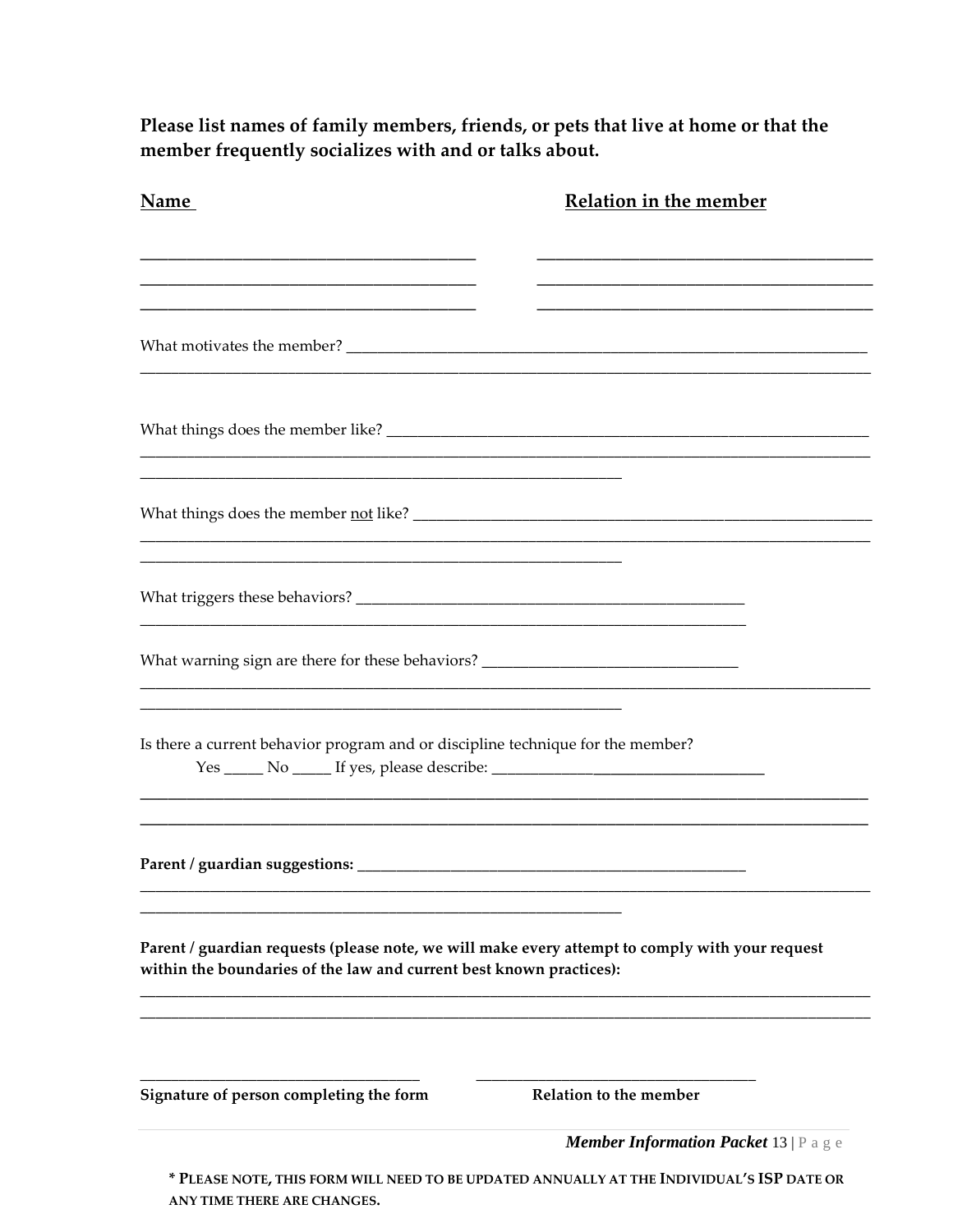Please list names of family members, friends, or pets that live at home or that the member frequently socializes with and or talks about.

| Name                                                                                                                                                                   | <b>Relation in the member</b>                                                             |
|------------------------------------------------------------------------------------------------------------------------------------------------------------------------|-------------------------------------------------------------------------------------------|
|                                                                                                                                                                        |                                                                                           |
|                                                                                                                                                                        |                                                                                           |
|                                                                                                                                                                        |                                                                                           |
| What things does the member <u>not</u> like?                                                                                                                           |                                                                                           |
|                                                                                                                                                                        |                                                                                           |
| What warning sign are there for these behaviors? _______________________________                                                                                       |                                                                                           |
| Is there a current behavior program and or discipline technique for the member?<br>Yes _______ No _______ If yes, please describe: _________________________________   |                                                                                           |
|                                                                                                                                                                        |                                                                                           |
| Parent / guardian requests (please note, we will make every attempt to comply with your request<br>within the boundaries of the law and current best known practices): |                                                                                           |
| Signature of person completing the form                                                                                                                                | Relation to the member                                                                    |
|                                                                                                                                                                        | <b>Member Information Packet 13</b>   P a g e                                             |
|                                                                                                                                                                        | * PLEASE NOTE, THIS FORM WILL NEED TO BE UPDATED ANNUALLY AT THE INDIVIDUAL'S ISP DATE OR |

ANY TIME THERE ARE CHANGES.